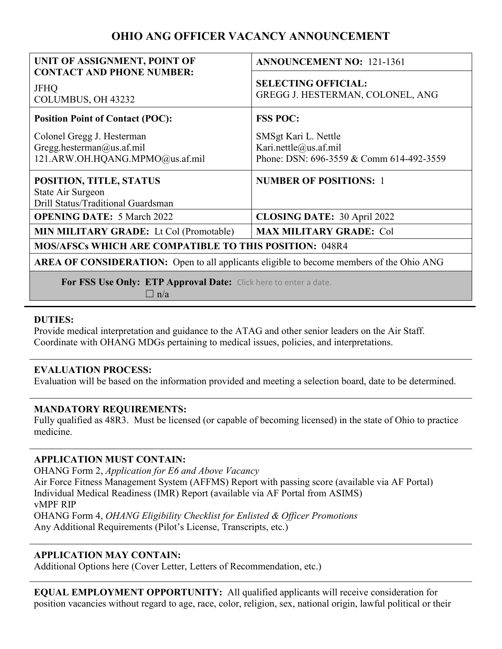# **OHIO ANG OFFICER VACANCY ANNOUNCEMENT**

| UNIT OF ASSIGNMENT, POINT OF                                                                    | <b>ANNOUNCEMENT NO: 121-1361</b>                                                          |
|-------------------------------------------------------------------------------------------------|-------------------------------------------------------------------------------------------|
| <b>CONTACT AND PHONE NUMBER:</b><br><b>JFHQ</b><br>COLUMBUS, OH 43232                           | <b>SELECTING OFFICIAL:</b><br>GREGG J. HESTERMAN, COLONEL, ANG                            |
| <b>Position Point of Contact (POC):</b>                                                         | <b>FSS POC:</b>                                                                           |
| Colonel Gregg J. Hesterman<br>Gregg.hesterman@us.af.mil<br>121.ARW.OH.HQANG.MPMO@us.af.mil      | SMSgt Kari L. Nettle<br>Kari.nettle@us.af.mil<br>Phone: DSN: 696-3559 & Comm 614-492-3559 |
| POSITION, TITLE, STATUS<br>State Air Surgeon<br>Drill Status/Traditional Guardsman              | <b>NUMBER OF POSITIONS: 1</b>                                                             |
| <b>OPENING DATE: 5 March 2022</b>                                                               | <b>CLOSING DATE: 30 April 2022</b>                                                        |
| <b>MIN MILITARY GRADE:</b> Lt Col (Promotable)                                                  | <b>MAX MILITARY GRADE: Col</b>                                                            |
| <b>MOS/AFSCs WHICH ARE COMPATIBLE TO THIS POSITION: 048R4</b>                                   |                                                                                           |
| <b>AREA OF CONSIDERATION:</b> Open to all applicants eligible to become members of the Ohio ANG |                                                                                           |
| For FSS Use Only: ETP Approval Date: Click here to enter a date.                                |                                                                                           |

 $\Box$  n/a

## **DUTIES:**

Provide medical interpretation and guidance to the ATAG and other senior leaders on the Air Staff. Coordinate with OHANG MDGs pertaining to medical issues, policies, and interpretations.

## **EVALUATION PROCESS:**

Evaluation will be based on the information provided and meeting a selection board, date to be determined.

## **MANDATORY REQUIREMENTS:**

Fully qualified as 48R3. Must be licensed (or capable of becoming licensed) in the state of Ohio to practice medicine.

## **APPLICATION MUST CONTAIN:**

OHANG Form 2, *Application for E6 and Above Vacancy* Air Force Fitness Management System (AFFMS) Report with passing score (available via AF Portal) Individual Medical Readiness (IMR) Report (available via AF Portal from ASIMS) vMPF RIP OHANG Form 4, *OHANG Eligibility Checklist for Enlisted & Officer Promotions* Any Additional Requirements (Pilot's License, Transcripts, etc.)

## **APPLICATION MAY CONTAIN:**

Additional Options here (Cover Letter, Letters of Recommendation, etc.)

**EQUAL EMPLOYMENT OPPORTUNITY:** All qualified applicants will receive consideration for position vacancies without regard to age, race, color, religion, sex, national origin, lawful political or their